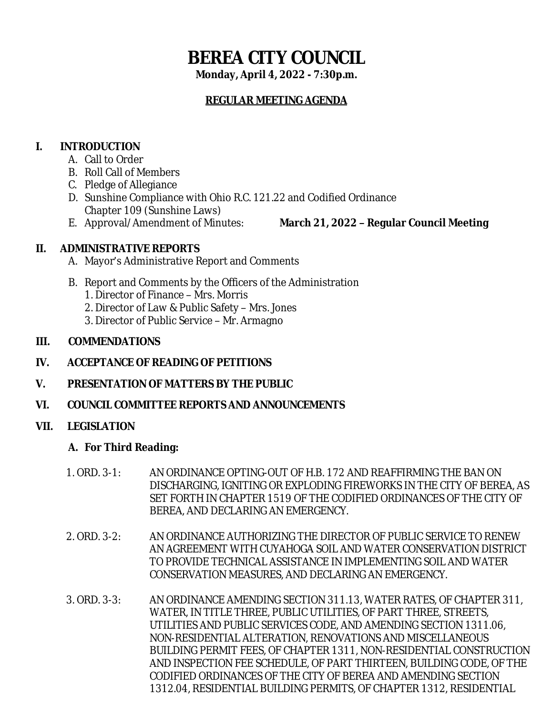# **BEREA CITY COUNCIL**

**Monday, April 4, 2022 - 7:30p.m.**

# **REGULAR MEETING AGENDA**

# **I. INTRODUCTION**

- A. Call to Order
- B. Roll Call of Members
- C. Pledge of Allegiance
- D. Sunshine Compliance with Ohio R.C. 121.22 and Codified Ordinance Chapter 109 (Sunshine Laws)
- 

E. Approval/Amendment of Minutes: **March 21, 2022 – Regular Council Meeting**

# **II. ADMINISTRATIVE REPORTS**

- A. Mayor's Administrative Report and Comments
- B. Report and Comments by the Officers of the Administration
	- 1. Director of Finance Mrs. Morris
	- 2. Director of Law & Public Safety Mrs. Jones
	- 3. Director of Public Service Mr. Armagno

# **III. COMMENDATIONS**

- **IV. ACCEPTANCE OF READING OF PETITIONS**
- **V. PRESENTATION OF MATTERS BY THE PUBLIC**
- **VI. COUNCIL COMMITTEE REPORTS AND ANNOUNCEMENTS**

# **VII. LEGISLATION**

# **A. For Third Reading:**

- 1. ORD. 3-1: AN ORDINANCE OPTING-OUT OF H.B. 172 AND REAFFIRMING THE BAN ON DISCHARGING, IGNITING OR EXPLODING FIREWORKS IN THE CITY OF BEREA, AS SET FORTH IN CHAPTER 1519 OF THE CODIFIED ORDINANCES OF THE CITY OF BEREA, AND DECLARING AN EMERGENCY.
- 2. ORD. 3-2: AN ORDINANCE AUTHORIZING THE DIRECTOR OF PUBLIC SERVICE TO RENEW AN AGREEMENT WITH CUYAHOGA SOIL AND WATER CONSERVATION DISTRICT TO PROVIDE TECHNICAL ASSISTANCE IN IMPLEMENTING SOIL AND WATER CONSERVATION MEASURES, AND DECLARING AN EMERGENCY.
- 3. ORD. 3-3: AN ORDINANCE AMENDING SECTION 311.13, WATER RATES, OF CHAPTER 311, WATER, IN TITLE THREE, PUBLIC UTILITIES, OF PART THREE, STREETS, UTILITIES AND PUBLIC SERVICES CODE, AND AMENDING SECTION 1311.06, NON-RESIDENTIAL ALTERATION, RENOVATIONS AND MISCELLANEOUS BUILDING PERMIT FEES, OF CHAPTER 1311, NON-RESIDENTIAL CONSTRUCTION AND INSPECTION FEE SCHEDULE, OF PART THIRTEEN, BUILDING CODE, OF THE CODIFIED ORDINANCES OF THE CITY OF BEREA AND AMENDING SECTION 1312.04, RESIDENTIAL BUILDING PERMITS, OF CHAPTER 1312, RESIDENTIAL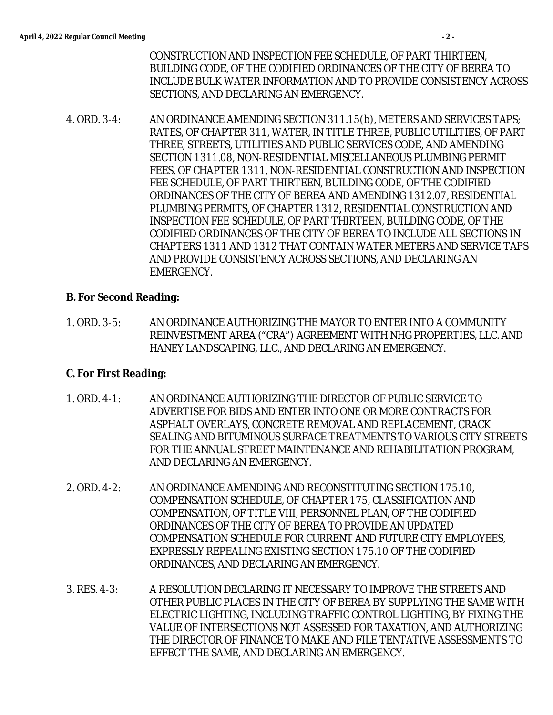CONSTRUCTION AND INSPECTION FEE SCHEDULE, OF PART THIRTEEN, BUILDING CODE, OF THE CODIFIED ORDINANCES OF THE CITY OF BEREA TO INCLUDE BULK WATER INFORMATION AND TO PROVIDE CONSISTENCY ACROSS SECTIONS, AND DECLARING AN EMERGENCY.

4. ORD. 3-4: AN ORDINANCE AMENDING SECTION 311.15(b), METERS AND SERVICES TAPS; RATES, OF CHAPTER 311, WATER, IN TITLE THREE, PUBLIC UTILITIES, OF PART THREE, STREETS, UTILITIES AND PUBLIC SERVICES CODE, AND AMENDING SECTION 1311.08, NON-RESIDENTIAL MISCELLANEOUS PLUMBING PERMIT FEES, OF CHAPTER 1311, NON-RESIDENTIAL CONSTRUCTION AND INSPECTION FEE SCHEDULE, OF PART THIRTEEN, BUILDING CODE, OF THE CODIFIED ORDINANCES OF THE CITY OF BEREA AND AMENDING 1312.07, RESIDENTIAL PLUMBING PERMITS, OF CHAPTER 1312, RESIDENTIAL CONSTRUCTION AND INSPECTION FEE SCHEDULE, OF PART THIRTEEN, BUILDING CODE, OF THE CODIFIED ORDINANCES OF THE CITY OF BEREA TO INCLUDE ALL SECTIONS IN CHAPTERS 1311 AND 1312 THAT CONTAIN WATER METERS AND SERVICE TAPS AND PROVIDE CONSISTENCY ACROSS SECTIONS, AND DECLARING AN EMERGENCY.

## **B. For Second Reading:**

1. ORD. 3-5: AN ORDINANCE AUTHORIZING THE MAYOR TO ENTER INTO A COMMUNITY REINVESTMENT AREA ("CRA") AGREEMENT WITH NHG PROPERTIES, LLC. AND HANEY LANDSCAPING, LLC., AND DECLARING AN EMERGENCY.

## **C. For First Reading:**

- 1. ORD. 4-1: AN ORDINANCE AUTHORIZING THE DIRECTOR OF PUBLIC SERVICE TO ADVERTISE FOR BIDS AND ENTER INTO ONE OR MORE CONTRACTS FOR ASPHALT OVERLAYS, CONCRETE REMOVAL AND REPLACEMENT, CRACK SEALING AND BITUMINOUS SURFACE TREATMENTS TO VARIOUS CITY STREETS FOR THE ANNUAL STREET MAINTENANCE AND REHABILITATION PROGRAM, AND DECLARING AN EMERGENCY.
- 2. ORD. 4-2: AN ORDINANCE AMENDING AND RECONSTITUTING SECTION 175.10, COMPENSATION SCHEDULE, OF CHAPTER 175, CLASSIFICATION AND COMPENSATION, OF TITLE VIII, PERSONNEL PLAN, OF THE CODIFIED ORDINANCES OF THE CITY OF BEREA TO PROVIDE AN UPDATED COMPENSATION SCHEDULE FOR CURRENT AND FUTURE CITY EMPLOYEES, EXPRESSLY REPEALING EXISTING SECTION 175.10 OF THE CODIFIED ORDINANCES, AND DECLARING AN EMERGENCY.
- 3. RES. 4-3: A RESOLUTION DECLARING IT NECESSARY TO IMPROVE THE STREETS AND OTHER PUBLIC PLACES IN THE CITY OF BEREA BY SUPPLYING THE SAME WITH ELECTRIC LIGHTING, INCLUDING TRAFFIC CONTROL LIGHTING, BY FIXING THE VALUE OF INTERSECTIONS NOT ASSESSED FOR TAXATION, AND AUTHORIZING THE DIRECTOR OF FINANCE TO MAKE AND FILE TENTATIVE ASSESSMENTS TO EFFECT THE SAME, AND DECLARING AN EMERGENCY.